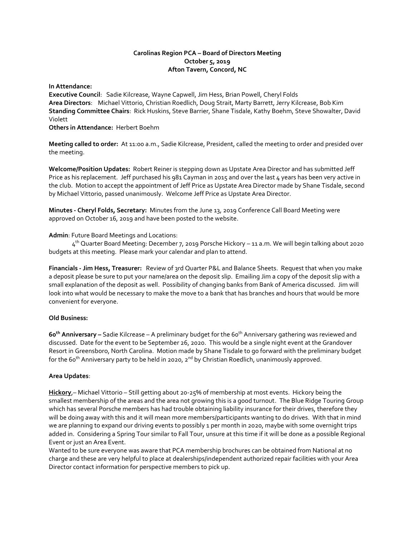# **Carolinas Region PCA – Board of Directors Meeting October 5, 2019 Afton Tavern, Concord, NC**

**In Attendance:** 

**Executive Council**: Sadie Kilcrease, Wayne Capwell, Jim Hess, Brian Powell, Cheryl Folds **Area Directors**: Michael Vittorio, Christian Roedlich, Doug Strait, Marty Barrett, Jerry Kilcrease, Bob Kim **Standing Committee Chairs**: Rick Huskins, Steve Barrier, Shane Tisdale, Kathy Boehm, Steve Showalter, David Violett

**Others in Attendance:** Herbert Boehm

**Meeting called to order:** At 11:00 a.m., Sadie Kilcrease, President, called the meeting to order and presided over the meeting.

**Welcome/Position Updates:** Robert Reiner is stepping down as Upstate Area Director and has submitted Jeff Price as his replacement. Jeff purchased his 981 Cayman in 2015 and over the last 4 years has been very active in the club. Motion to accept the appointment of Jeff Price as Upstate Area Director made by Shane Tisdale, second by Michael Vittorio, passed unanimously. Welcome Jeff Price as Upstate Area Director.

**Minutes - Cheryl Folds, Secretary:** Minutes from the June 13, 2019 Conference Call Board Meeting were approved on October 16, 2019 and have been posted to the website.

# **Admin**: Future Board Meetings and Locations:

 4 th Quarter Board Meeting: December 7, 2019 Porsche Hickory – 11 a.m. We will begin talking about 2020 budgets at this meeting. Please mark your calendar and plan to attend.

**Financials - Jim Hess, Treasurer:** Review of 3rd Quarter P&L and Balance Sheets. Request that when you make a deposit please be sure to put your name/area on the deposit slip. Emailing Jim a copy of the deposit slip with a small explanation of the deposit as well. Possibility of changing banks from Bank of America discussed. Jim will look into what would be necessary to make the move to a bank that has branches and hours that would be more convenient for everyone.

### **Old Business:**

**60 th Anniversary –** Sadie Kilcrease – A preliminary budget for the 60 th Anniversary gathering was reviewed and discussed. Date for the event to be September 26, 2020. This would be a single night event at the Grandover Resort in Greensboro, North Carolina. Motion made by Shane Tisdale to go forward with the preliminary budget for the 60<sup>th</sup> Anniversary party to be held in 2020, 2<sup>nd</sup> by Christian Roedlich, unanimously approved.

### **Area Updates**:

**Hickory**,– Michael Vittorio – Still getting about 20-25% of membership at most events. Hickory being the smallest membership of the areas and the area not growing this is a good turnout. The Blue Ridge Touring Group which has several Porsche members has had trouble obtaining liability insurance for their drives, therefore they will be doing away with this and it will mean more members/participants wanting to do drives. With that in mind we are planning to expand our driving events to possibly 1 per month in 2020, maybe with some overnight trips added in. Considering a Spring Tour similar to Fall Tour, unsure at this time if it will be done as a possible Regional Event or just an Area Event.

Wanted to be sure everyone was aware that PCA membership brochures can be obtained from National at no charge and these are very helpful to place at dealerships/independent authorized repair facilities with your Area Director contact information for perspective members to pick up.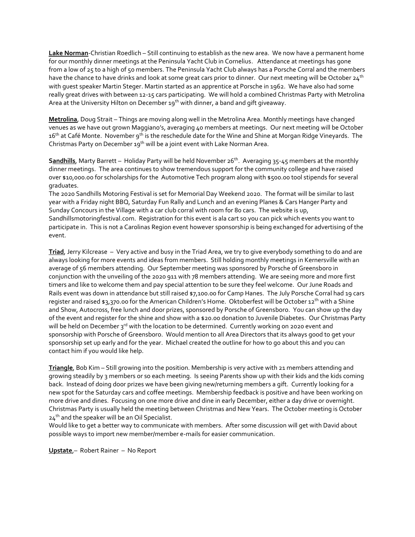**Lake Norman**-Christian Roedlich – Still continuing to establish as the new area. We now have a permanent home for our monthly dinner meetings at the Peninsula Yacht Club in Cornelius. Attendance at meetings has gone from a low of 25 to a high of 50 members. The Peninsula Yacht Club always has a Porsche Corral and the members have the chance to have drinks and look at some great cars prior to dinner. Our next meeting will be October  $24<sup>th</sup>$ with guest speaker Martin Steger. Martin started as an apprentice at Porsche in 1962. We have also had some really great drives with between 12-15 cars participating. We will hold a combined Christmas Party with Metrolina Area at the University Hilton on December 19<sup>th</sup> with dinner, a band and gift giveaway.

**Metrolina**, Doug Strait – Things are moving along well in the Metrolina Area. Monthly meetings have changed venues as we have out grown Maggiano's, averaging 40 members at meetings. Our next meeting will be October 16<sup>th</sup> at Café Monte. November 9<sup>th</sup> is the reschedule date for the Wine and Shine at Morgan Ridge Vineyards. The Christmas Party on December 19<sup>th</sup> will be a joint event with Lake Norman Area.

**Sandhills**, Marty Barrett – Holiday Party will be held November 26<sup>th</sup>. Averaging 35-45 members at the monthly dinner meetings. The area continues to show tremendous support for the community college and have raised over \$10,000.00 for scholarships for the Automotive Tech program along with \$500.00 tool stipends for several graduates.

The 2020 Sandhills Motoring Festival is set for Memorial Day Weekend 2020. The format will be similar to last year with a Friday night BBQ, Saturday Fun Rally and Lunch and an evening Planes & Cars Hanger Party and Sunday Concours in the Village with a car club corral with room for 80 cars. The website is up, Sandhillsmotoringfestival.com. Registration for this event is ala cart so you can pick which events you want to participate in. This is not a Carolinas Region event however sponsorship is being exchanged for advertising of the event.

**Triad**, Jerry Kilcrease – Very active and busy in the Triad Area, we try to give everybody something to do and are always looking for more events and ideas from members. Still holding monthly meetings in Kernersville with an average of 56 members attending. Our September meeting was sponsored by Porsche of Greensboro in conjunction with the unveiling of the 2020 911 with 78 members attending. We are seeing more and more first timers and like to welcome them and pay special attention to be sure they feel welcome. Our June Roads and Rails event was down in attendance but still raised \$7,100.00 for Camp Hanes. The July Porsche Corral had 19 cars register and raised \$3,370.00 for the American Children's Home. Oktoberfest will be October 12<sup>th</sup> with a Shine and Show, Autocross, free lunch and door prizes, sponsored by Porsche of Greensboro. You can show up the day of the event and register for the shine and show with a \$20.00 donation to Juvenile Diabetes. Our Christmas Party will be held on December 3rd with the location to be determined. Currently working on 2020 event and sponsorship with Porsche of Greensboro. Would mention to all Area Directors that its always good to get your sponsorship set up early and for the year. Michael created the outline for how to go about this and you can contact him if you would like help.

**Triangle**, Bob Kim – Still growing into the position. Membership is very active with 21 members attending and growing steadily by 3 members or so each meeting. Is seeing Parents show up with their kids and the kids coming back. Instead of doing door prizes we have been giving new/returning members a gift. Currently looking for a new spot for the Saturday cars and coffee meetings. Membership feedback is positive and have been working on more drive and dines. Focusing on one more drive and dine in early December, either a day drive or overnight. Christmas Party is usually held the meeting between Christmas and New Years. The October meeting is October 24<sup>th</sup> and the speaker will be an Oil Specialist.

Would like to get a better way to communicate with members. After some discussion will get with David about possible ways to import new member/member e-mails for easier communication.

**Upstate**,– Robert Rainer – No Report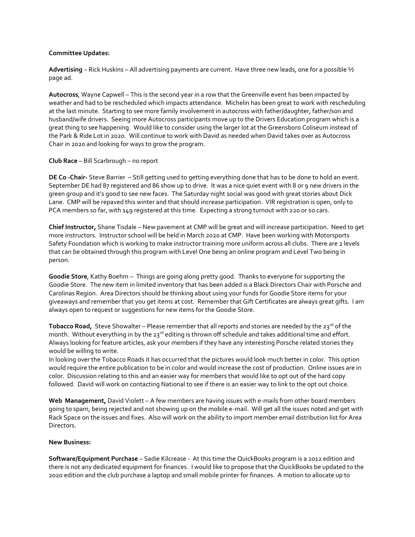#### **Committee Updates:**

**Advertising** – Rick Huskins – All advertising payments are current. Have three new leads, one for a possible ½ page ad.

**Autocross**, Wayne Capwell – This is the second year in a row that the Greenville event has been impacted by weather and had to be rescheduled which impacts attendance. Michelin has been great to work with rescheduling at the last minute. Starting to see more family involvement in autocross with father/daughter, father/son and husband/wife drivers. Seeing more Autocross participants move up to the Drivers Education program which is a great thing to see happening. Would like to consider using the larger lot at the Greensboro Coliseum instead of the Park & Ride Lot in 2020. Will continue to work with David as needed when David takes over as Autocross Chair in 2020 and looking for ways to grow the program.

#### **Club Race** – Bill Scarbrough – no report

**DE Co -Chair-** Steve Barrier – Still getting used to getting everything done that has to be done to hold an event. September DE had 87 registered and 86 show up to drive. It was a nice quiet event with 8 or 9 new drivers in the green group and it's good to see new faces. The Saturday night social was good with great stories about Dick Lane. CMP will be repaved this winter and that should increase participation. VIR registration is open, only to PCA members so far, with 149 registered at this time. Expecting a strong turnout with 220 or so cars.

**Chief Instructor,** Shane Tisdale – New pavement at CMP will be great and will increase participation. Need to get more instructors. Instructor school will be held in March 2020 at CMP. Have been working with Motorsports Safety Foundation which is working to make instructor training more uniform across all clubs. There are 2 levels that can be obtained through this program with Level One being an online program and Level Two being in person.

**Goodie Store**, Kathy Boehm – Things are going along pretty good. Thanks to everyone for supporting the Goodie Store. The new item in limited inventory that has been added is a Black Directors Chair with Porsche and Carolinas Region. Area Directors should be thinking about using your funds for Goodie Store items for your giveaways and remember that you get items at cost. Remember that Gift Certificates are always great gifts. I am always open to request or suggestions for new items for the Goodie Store.

**Tobacco Road,** Steve Showalter – Please remember that all reports and stories are needed by the 23<sup>rd</sup> of the month. Without everything in by the 23<sup>rd</sup> editing is thrown off schedule and takes additional time and effort. Always looking for feature articles, ask your members if they have any interesting Porsche related stories they would be willing to write.

In looking over the Tobacco Roads it has occurred that the pictures would look much better in color. This option would require the entire publication to be in color and would increase the cost of production. Online issues are in color. Discussion relating to this and an easier way for members that would like to opt out of the hard copy followed. David will work on contacting National to see if there is an easier way to link to the opt out choice.

**Web Management,** David Violett – A few members are having issues with e-mails from other board members going to spam, being rejected and not showing up on the mobile e-mail. Will get all the issues noted and get with Rack Space on the issues and fixes. Also will work on the ability to import member email distribution list for Area Directors.

### **New Business:**

**Software/Equipment Purchase** – Sadie Kilcrease -At this time the QuickBooks program is a 2012 edition and there is not any dedicated equipment for finances. I would like to propose that the QuickBooks be updated to the 2020 edition and the club purchase a laptop and small mobile printer for finances. A motion to allocate up to